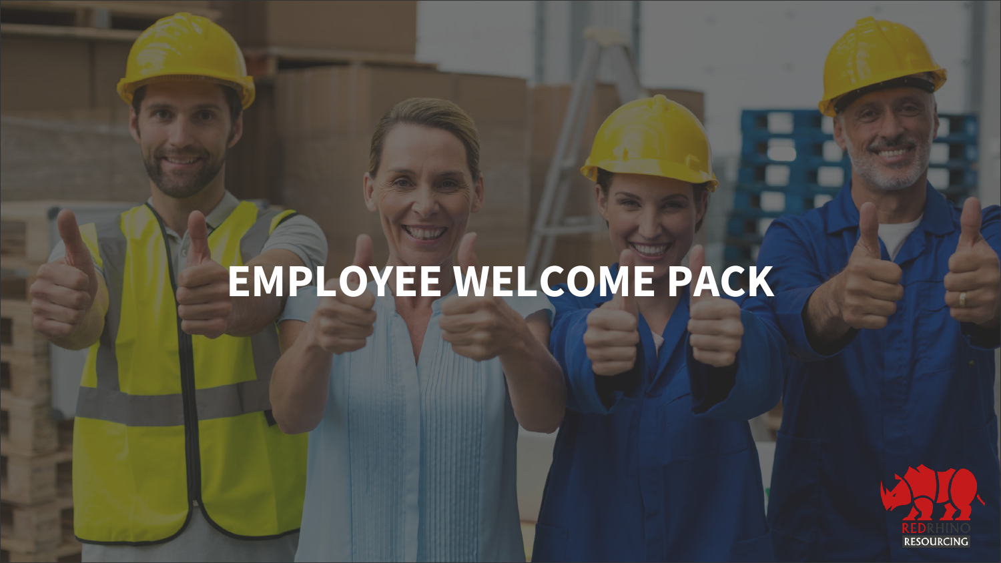#### SNIKA EM W. Esk **EMPLOYEE WELCOME PACK**

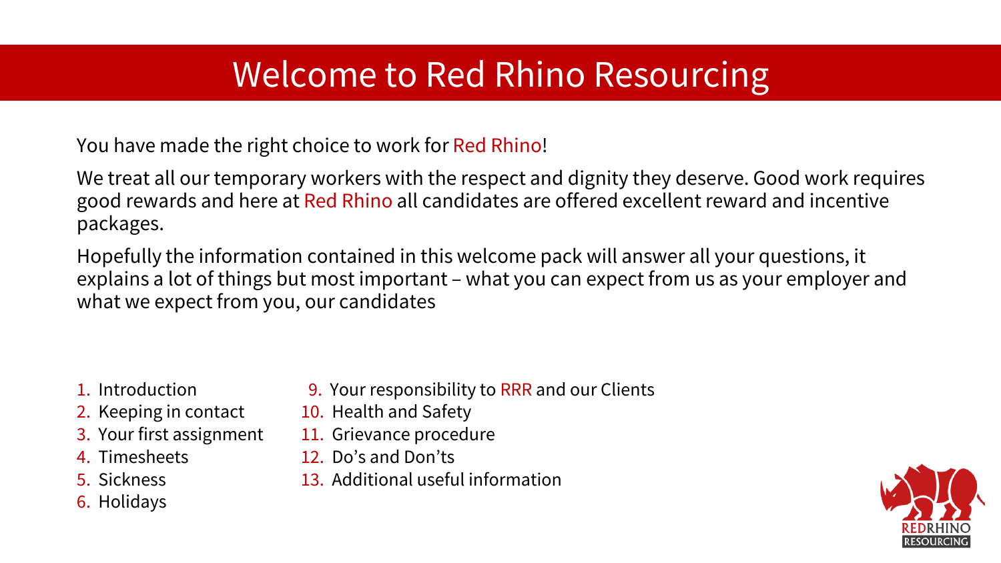### Welcome to Red Rhino Resourcing

You have made the right choice to work for Red Rhino!

We treat all our temporary workers with the respect and dignity they deserve. Good work requires good rewards and here at Red Rhino all candidates are offered excellent reward and incentive packages.

Hopefully the information contained in this welcome pack will answer all your questions, it explains a lot of things but most important – what you can expect from us as your employer and what we expect from you, our candidates

#### 1. Introduction

- 2. Keeping in contact
- 3. Your first assignment
- 4. Timesheets
- 5. Sickness
- 6. Holidays
- 9. Your responsibility to RRR and our Clients
- 10. Health and Safety
- 11. Grievance procedure
- 12. Do's and Don'ts
- 13. Additional useful information

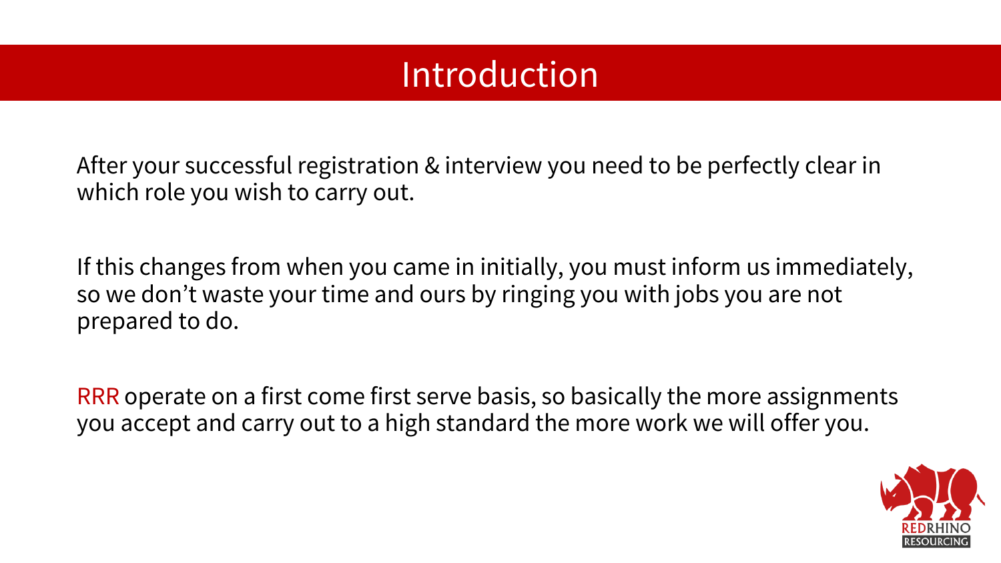#### Introduction

After your successful registration & interview you need to be perfectly clear in which role you wish to carry out.

If this changes from when you came in initially, you must inform us immediately, so we don't waste your time and ours by ringing you with jobs you are not prepared to do.

RRR operate on a first come first serve basis, so basically the more assignments you accept and carry out to a high standard the more work we will offer you.

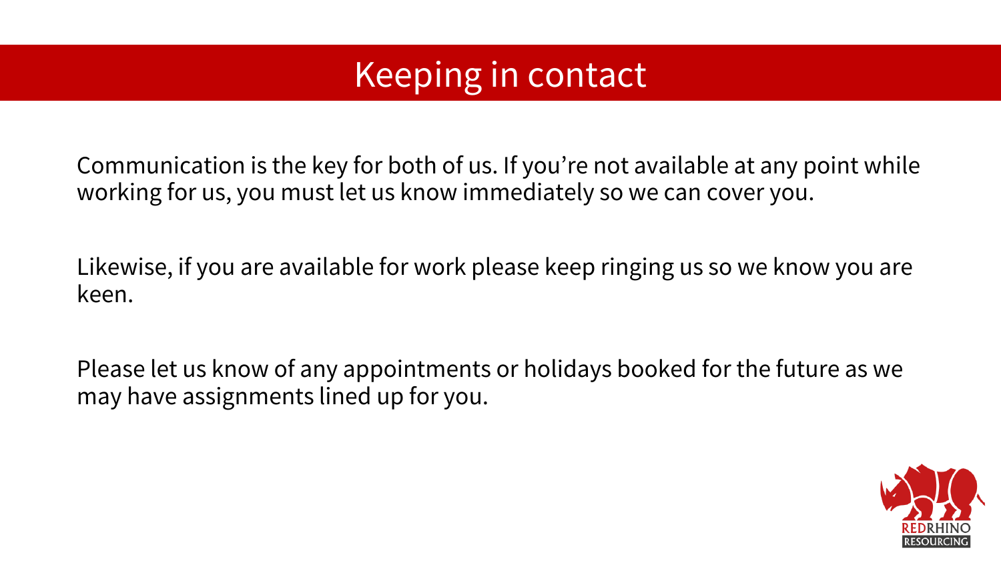### Keeping in contact

Communication is the key for both of us. If you're not available at any point while working for us, you must let us know immediately so we can cover you.

Likewise, if you are available for work please keep ringing us so we know you are keen.

Please let us know of any appointments or holidays booked for the future as we may have assignments lined up for you.

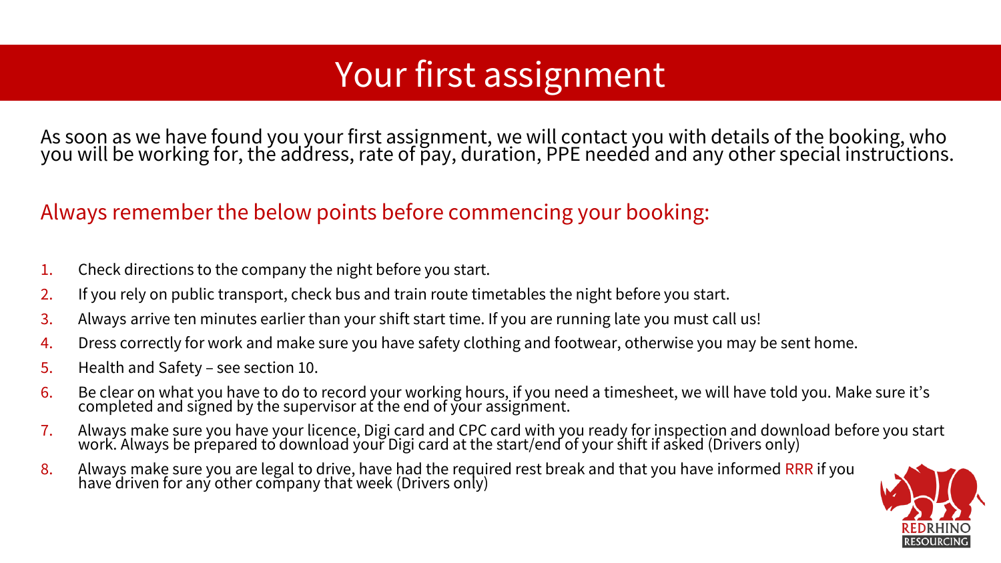## Your first assignment

As soon as we have found you your first assignment, we will contact you with details of the booking, who you will be working for, the address, rate of p̃ay, duŕation, PPE needéd and any other special instruc̃tions.

#### Always remember the below points before commencing your booking:

- 1. Check directions to the company the night before you start.
- 2. If you rely on public transport, check bus and train route timetables the night before you start.
- 3. Always arrive ten minutes earlier than your shift start time. If you are running late you must call us!
- 4. Dress correctly for work and make sure you have safety clothing and footwear, otherwise you may be sent home.
- 5. Health and Safety see section 10.
- 6. Be clear on what you have to do to record your working hours, if you need a timesheet, we will have told you. Make sure it's completed and signed by the supervisor at the end of your assignment.
- 7. Always make sure you have your licence, Digi card and CPC card with you ready for inspection and download before you start work. Always be prepared to download your Digi card at the start/end of your shift if asked (Drivers only)
- 8. Always make sure you are legal to drive, have had the required rest break and that you have informed RRR if you have driven for any other company that week (Drivers only)

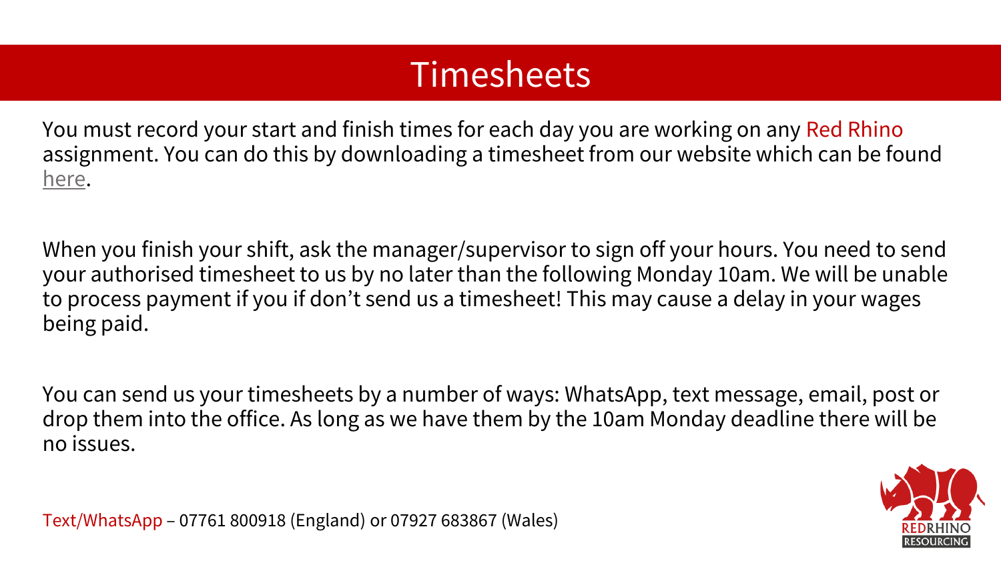### Timesheets

You must record your start and finish times for each day you are working on any Red Rhino assignment. You can do this by downloading a timesheet from our website which can be found [here](http://www.redrhinoresourcing.co.uk/).

When you finish your shift, ask the manager/supervisor to sign off your hours. You need to send your authorised timesheet to us by no later than the following Monday 10am. We will be unable to process payment if you if don't send us a timesheet! This may cause a delay in your wages being paid.

You can send us your timesheets by a number of ways: WhatsApp, text message, email, post or drop them into the office. As long as we have them by the 10am Monday deadline there will be no issues.



Text/WhatsApp – 07761 800918 (England) or 07927 683867 (Wales)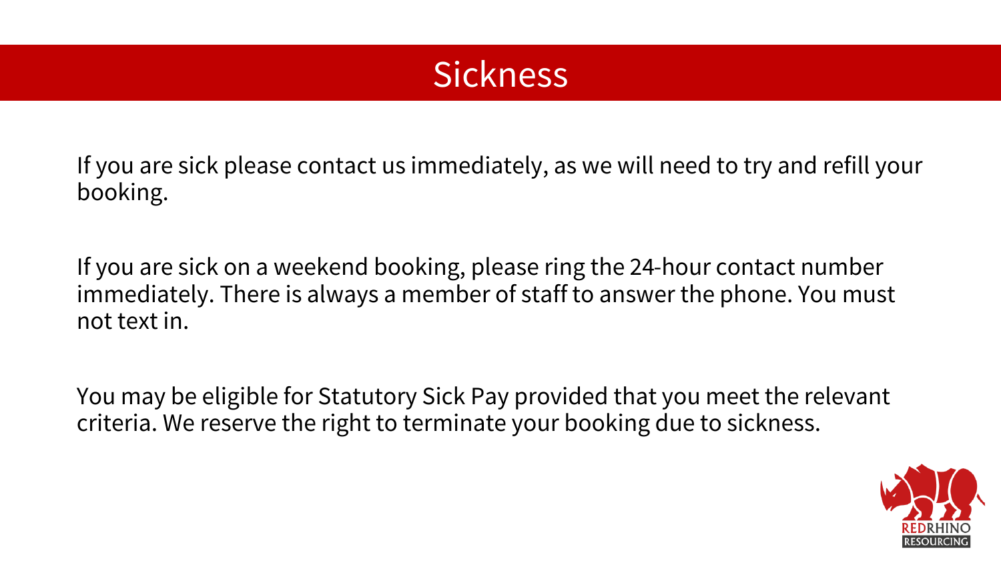### **Sickness**

If you are sick please contact us immediately, as we will need to try and refill your booking.

If you are sick on a weekend booking, please ring the 24-hour contact number immediately. There is always a member of staff to answer the phone. You must not text in.

You may be eligible for Statutory Sick Pay provided that you meet the relevant criteria. We reserve the right to terminate your booking due to sickness.

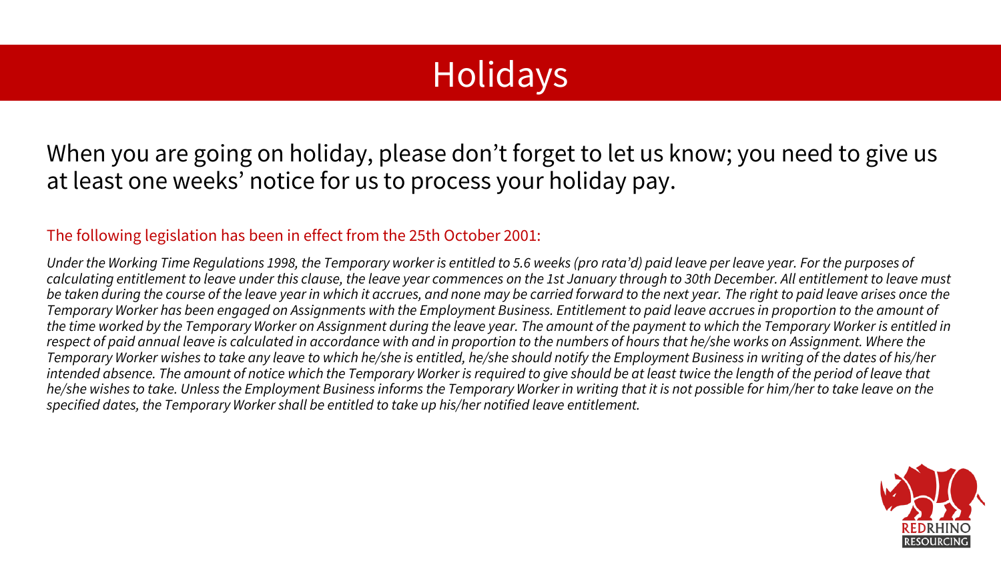## **Holidays**

When you are going on holiday, please don't forget to let us know; you need to give us at least one weeks' notice for us to process your holiday pay.

#### The following legislation has been in effect from the 25th October 2001:

Under the Working Time Regulations 1998, the Temporary worker is entitled to 5.6 weeks (pro rata'd) paid leave per leave year. For the purposes of *calculating entitlement to leave under this clause, the leave year commences on the 1st January through to 30th December. All entitlement to leave must*  be taken during the course of the leave year in which it accrues, and none may be carried forward to the next year. The right to paid leave arises once the *Temporary Worker has been engaged on Assignments with the Employment Business. Entitlement to paid leave accrues in proportion to the amount of the time worked by the Temporary Worker on Assignment during the leave year. The amount of the payment to which the Temporary Worker is entitled in*  respect of paid annual leave is calculated in accordance with and in proportion to the numbers of hours that he/she works on Assignment. Where the *Temporary Worker wishes to take any leave to which he/she is entitled, he/she should notify the Employment Business in writing of the dates of his/her*  intended absence. The amount of notice which the Temporary Worker is required to give should be at least twice the length of the period of leave that *he/she wishes to take. Unless the Employment Business informs the Temporary Worker in writing that it is not possible for him/her to take leave on the specified dates, the Temporary Worker shall be entitled to take up his/her notified leave entitlement.*

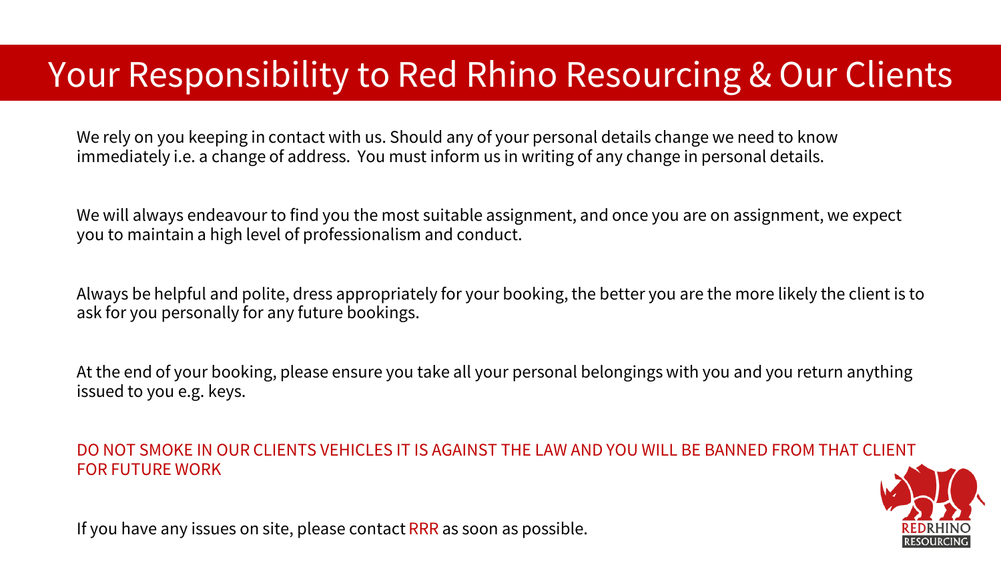### Your Responsibility to Red Rhino Resourcing & Our Clients

We rely on you keeping in contact with us. Should any of your personal details change we need to know immediately i.e. a change of address. You must inform us in writing of any change in personal details.

We will always endeavour to find you the most suitable assignment, and once you are on assignment, we expect you to maintain a high level of professionalism and conduct.

Always be helpful and polite, dress appropriately for your booking, the better you are the more likely the client is to ask for you personally for any future bookings.

At the end of your booking, please ensure you take all your personal belongings with you and you return anything issued to you e.g. keys.

#### DO NOT SMOKE IN OUR CLIENTS VEHICLES IT IS AGAINST THE LAW AND YOU WILL BE BANNED FROM THAT CLIENT FOR FUTURE WORK



If you have any issues on site, please contact RRR as soon as possible.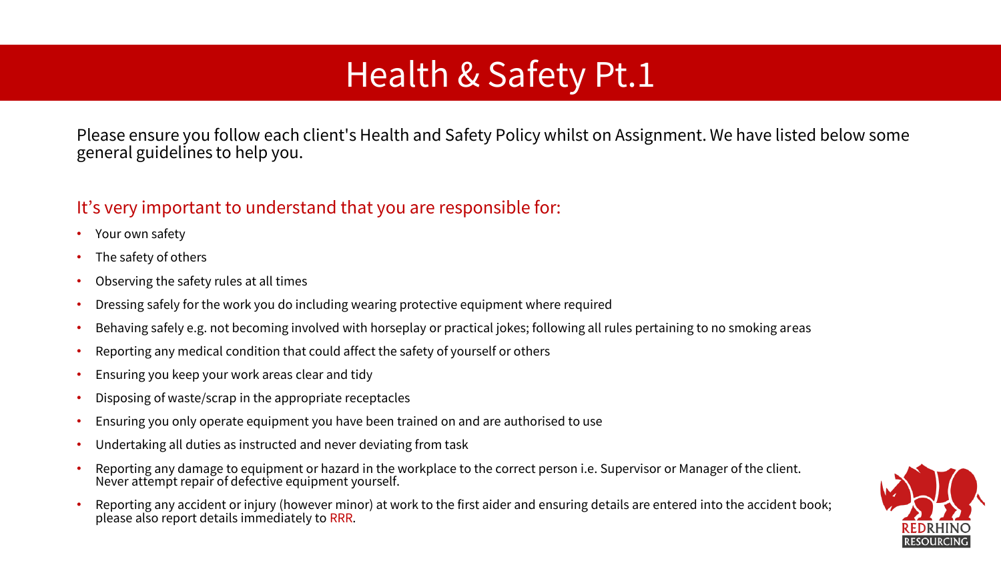### Health & Safety Pt.1

Please ensure you follow each client's Health and Safety Policy whilst on Assignment. We have listed below some general guidelines to help you.

#### It's very important to understand that you are responsible for:

- Your own safety
- The safety of others
- Observing the safety rules at all times
- Dressing safely for the work you do including wearing protective equipment where required
- Behaving safely e.g. not becoming involved with horseplay or practical jokes; following all rules pertaining to no smoking areas
- Reporting any medical condition that could affect the safety of yourself or others
- Ensuring you keep your work areas clear and tidy
- Disposing of waste/scrap in the appropriate receptacles
- Ensuring you only operate equipment you have been trained on and are authorised to use
- Undertaking all duties as instructed and never deviating from task
- Reporting any damage to equipment or hazard in the workplace to the correct person i.e. Supervisor or Manager of the client. Never attempt repair of defective equipment yourself.
- Reporting any accident or injury (however minor) at work to the first aider and ensuring details are entered into the accident book; please also report details immediately to RRR.

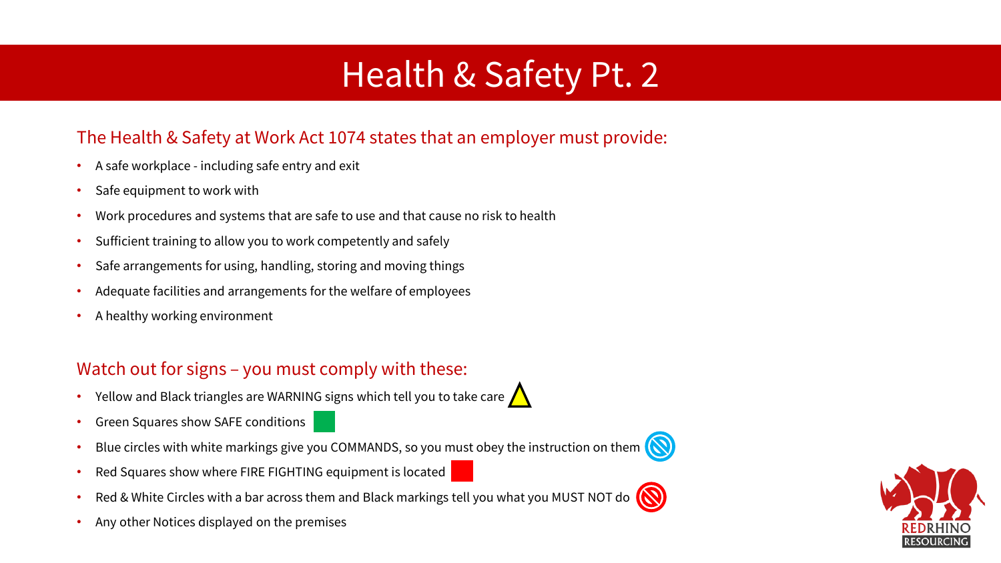### Health & Safety Pt. 2

#### The Health & Safety at Work Act 1074 states that an employer must provide:

- A safe workplace including safe entry and exit
- Safe equipment to work with
- Work procedures and systems that are safe to use and that cause no risk to health
- Sufficient training to allow you to work competently and safely
- Safe arrangements for using, handling, storing and moving things
- Adequate facilities and arrangements for the welfare of employees
- A healthy working environment

#### Watch out for signs – you must comply with these:

- Yellow and Black triangles are WARNING signs which tell you to take care  $\bigwedge$
- Green Squares show SAFE conditions
- Blue circles with white markings give you COMMANDS, so you must obey the instruction on them  $\bigcap$
- Red Squares show where FIRE FIGHTING equipment is located
- Red & White Circles with a bar across them and Black markings tell you what you MUST NOT do  $\bigcirc$
- Any other Notices displayed on the premises



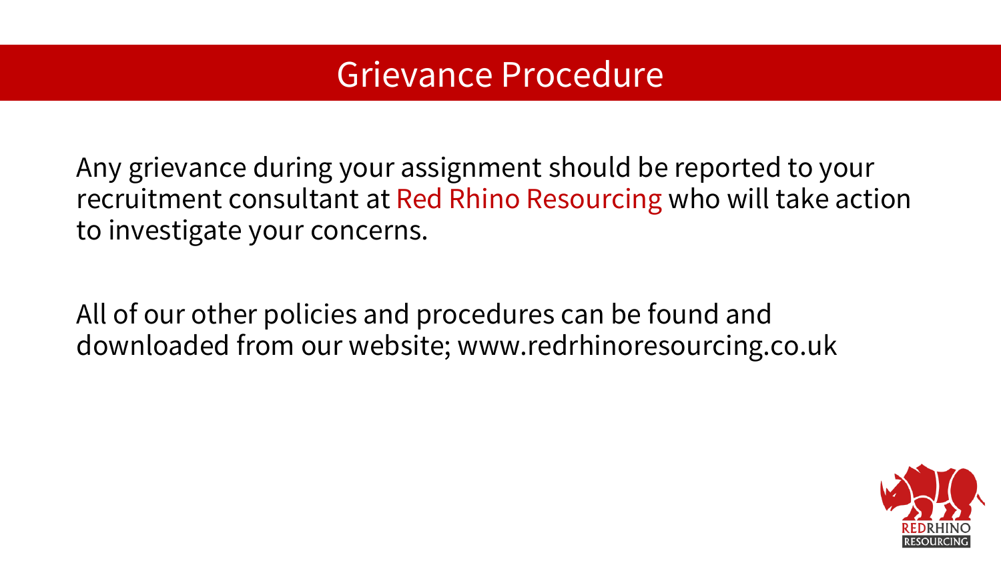#### Grievance Procedure

Any grievance during your assignment should be reported to your recruitment consultant at Red Rhino Resourcing who will take action to investigate your concerns.

All of our other policies and procedures can be found and downloaded from our website; www.redrhinoresourcing.co.uk

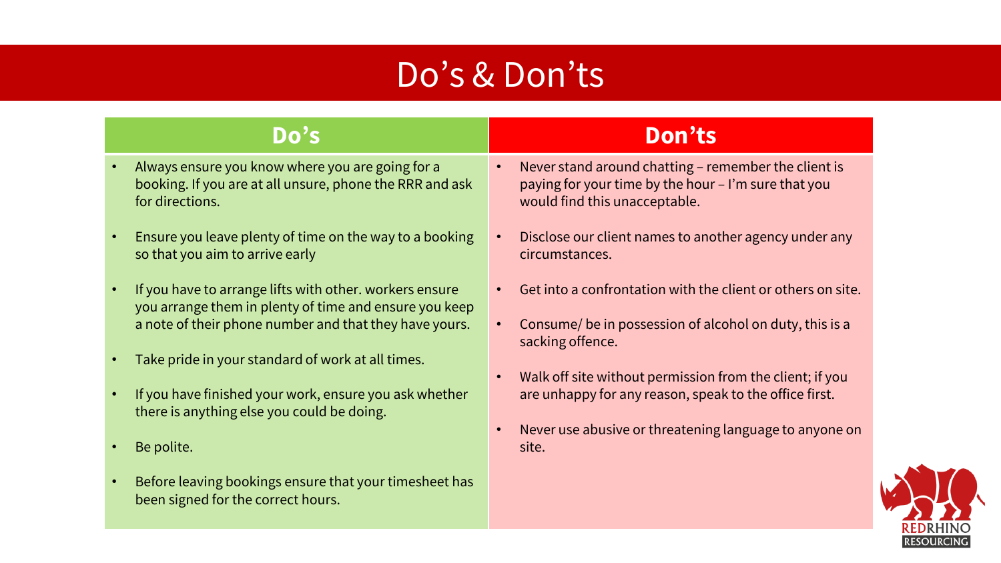### Do's & Don'ts

#### **Do's Don'ts** • Always ensure you know where you are going for a booking. If you are at all unsure, phone the RRR and ask for directions. • Ensure you leave plenty of time on the way to a booking so that you aim to arrive early • If you have to arrange lifts with other. workers ensure you arrange them in plenty of time and ensure you keep a note of their phone number and that they have yours. circumstances.

- Take pride in your standard of work at all times.
- If you have finished your work, ensure you ask whether there is anything else you could be doing.
- Be polite.
- Before leaving bookings ensure that your timesheet has been signed for the correct hours.

- Never stand around chatting remember the client is paying for your time by the hour – I'm sure that you would find this unacceptable.
- Disclose our client names to another agency under any
- Get into a confrontation with the client or others on site.
- Consume/ be in possession of alcohol on duty, this is a sacking offence.
- Walk off site without permission from the client; if you are unhappy for any reason, speak to the office first.
- Never use abusive or threatening language to anyone on site.